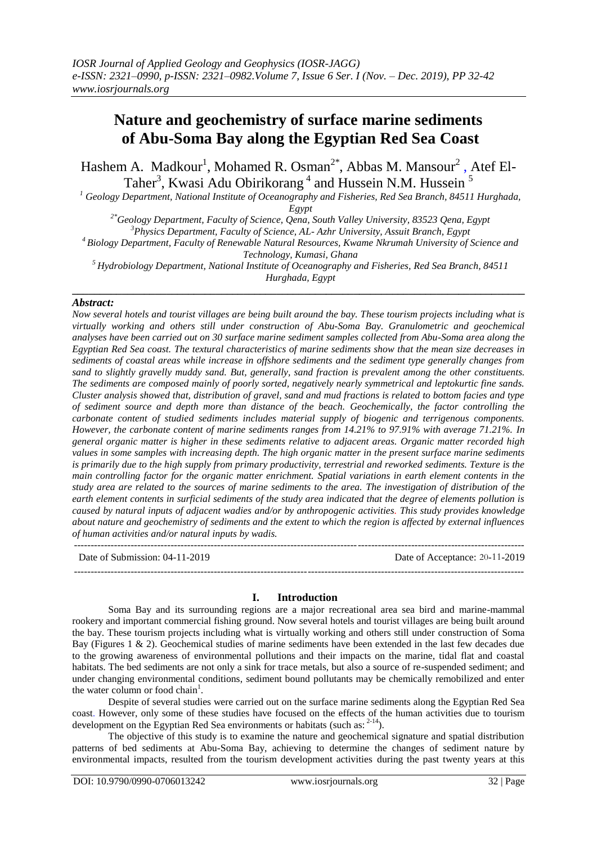# **Nature and geochemistry of surface marine sediments of Abu-Soma Bay along the Egyptian Red Sea Coast**

Hashem A. Madkour<sup>1</sup>, Mohamed R. Osman<sup>2\*</sup>, Abbas M. Mansour<sup>2</sup>, Atef El-Taher<sup>3</sup>, Kwasi Adu Obirikorang<sup>4</sup> and Hussein N.M. Hussein<sup>5</sup>

*<sup>1</sup> Geology Department, National Institute of Oceanography and Fisheries, Red Sea Branch, 84511 Hurghada, Egypt*

*2\*Geology Department, Faculty of Science, Qena, South Valley University, 83523 Qena, Egypt*

*<sup>3</sup>Physics Department, Faculty of Science, AL- Azhr University, Assuit Branch, Egypt*

*<sup>4</sup>Biology Department, Faculty of Renewable Natural Resources, Kwame Nkrumah University of Science and Technology, Kumasi, Ghana*

*<sup>5</sup> Hydrobiology Department, National Institute of Oceanography and Fisheries, Red Sea Branch, 84511 Hurghada, Egypt* **\_\_\_\_\_\_\_\_\_\_\_\_\_\_\_\_\_\_\_\_\_\_\_\_\_\_\_\_\_\_\_\_\_\_\_\_\_\_\_\_\_\_\_\_\_\_\_\_\_\_\_\_\_\_\_\_\_\_\_\_\_\_\_\_\_\_\_\_\_\_\_\_\_\_\_\_\_\_\_\_\_\_**

## *Abstract:*

*Now several hotels and tourist villages are being built around the bay. These tourism projects including what is virtually working and others still under construction of Abu-Soma Bay. Granulometric and geochemical analyses have been carried out on 30 surface marine sediment samples collected from Abu-Soma area along the Egyptian Red Sea coast. The textural characteristics of marine sediments show that the mean size decreases in sediments of coastal areas while increase in offshore sediments and the sediment type generally changes from sand to slightly gravelly muddy sand. But, generally, sand fraction is prevalent among the other constituents. The sediments are composed mainly of poorly sorted, negatively nearly symmetrical and leptokurtic fine sands. Cluster analysis showed that, distribution of gravel, sand and mud fractions is related to bottom facies and type of sediment source and depth more than distance of the beach. Geochemically, the factor controlling the carbonate content of studied sediments includes material supply of biogenic and terrigenous components. However, the carbonate content of marine sediments ranges from 14.21% to 97.91% with average 71.21%. In general organic matter is higher in these sediments relative to adjacent areas. Organic matter recorded high values in some samples with increasing depth. The high organic matter in the present surface marine sediments is primarily due to the high supply from primary productivity, terrestrial and reworked sediments. Texture is the main controlling factor for the organic matter enrichment. Spatial variations in earth element contents in the study area are related to the sources of marine sediments to the area. The investigation of distribution of the earth element contents in surficial sediments of the study area indicated that the degree of elements pollution is caused by natural inputs of adjacent wadies and/or by anthropogenic activities. This study provides knowledge about nature and geochemistry of sediments and the extent to which the region is affected by external influences of human activities and/or natural inputs by wadis.*  ---------------------------------------------------------------------------------------------------------------------------------------

Date of Submission: 04-11-2019 Date of Acceptance: 20-11-2019

**I. Introduction**

---------------------------------------------------------------------------------------------------------------------------------------

Soma Bay and its surrounding regions are a major recreational area sea bird and marine-mammal rookery and important commercial fishing ground. Now several hotels and tourist villages are being built around the bay. These tourism projects including what is virtually working and others still under construction of Soma Bay (Figures 1 & 2). Geochemical studies of marine sediments have been extended in the last few decades due to the growing awareness of environmental pollutions and their impacts on the marine, tidal flat and coastal habitats. The bed sediments are not only a sink for trace metals, but also a source of re-suspended sediment; and under changing environmental conditions, sediment bound pollutants may be chemically remobilized and enter the water column or food chain<sup>1</sup>.

Despite of several studies were carried out on the surface marine sediments along the Egyptian Red Sea coast. However, only some of these studies have focused on the effects of the human activities due to tourism development on the Egyptian Red Sea environments or habitats (such as:  $2-14$ ).

The objective of this study is to examine the nature and geochemical signature and spatial distribution patterns of bed sediments at Abu-Soma Bay, achieving to determine the changes of sediment nature by environmental impacts, resulted from the tourism development activities during the past twenty years at this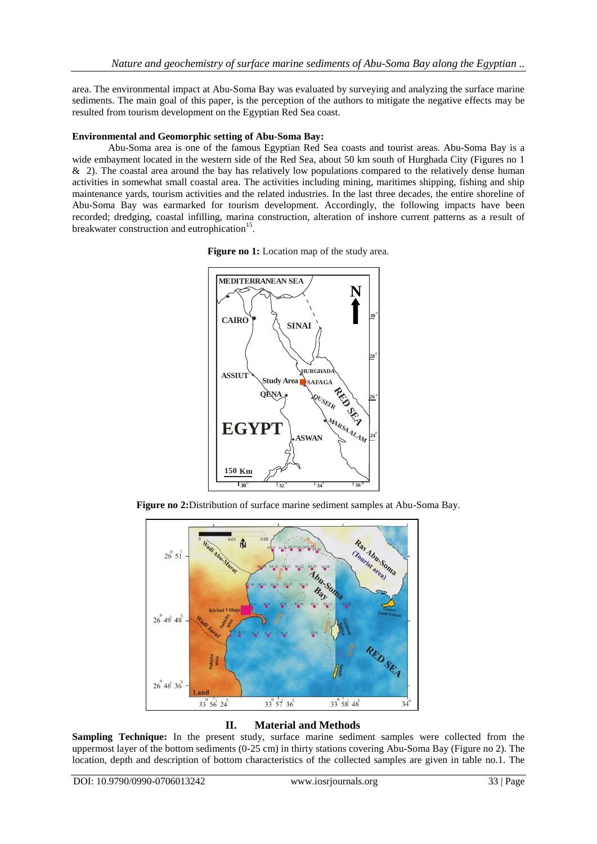area. The environmental impact at Abu-Soma Bay was evaluated by surveying and analyzing the surface marine sediments. The main goal of this paper, is the perception of the authors to mitigate the negative effects may be resulted from tourism development on the Egyptian Red Sea coast.

## **Environmental and Geomorphic setting of Abu-Soma Bay:**

Abu-Soma area is one of the famous Egyptian Red Sea coasts and tourist areas. Abu-Soma Bay is a wide embayment located in the western side of the Red Sea, about 50 km south of Hurghada City (Figures no 1) & 2). The coastal area around the bay has relatively low populations compared to the relatively dense human activities in somewhat small coastal area. The activities including mining, maritimes shipping, fishing and ship maintenance yards, tourism activities and the related industries. In the last three decades, the entire shoreline of Abu-Soma Bay was earmarked for tourism development. Accordingly, the following impacts have been recorded; dredging, coastal infilling, marina construction, alteration of inshore current patterns as a result of breakwater construction and eutrophication<sup>15</sup>.

Figure no 1: Location map of the study area.



**Figure no 2:**Distribution of surface marine sediment samples at Abu-Soma Bay.



# **II. Material and Methods**

**Sampling Technique:** In the present study, surface marine sediment samples were collected from the uppermost layer of the bottom sediments (0-25 cm) in thirty stations covering Abu-Soma Bay (Figure no 2). The location, depth and description of bottom characteristics of the collected samples are given in table no.1. The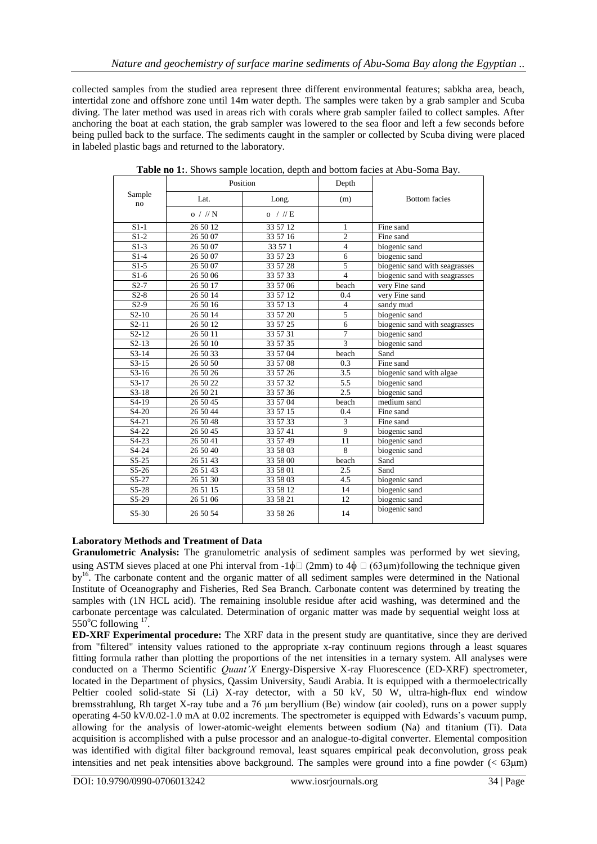collected samples from the studied area represent three different environmental features; sabkha area, beach, intertidal zone and offshore zone until 14m water depth. The samples were taken by a grab sampler and Scuba diving. The later method was used in areas rich with corals where grab sampler failed to collect samples. After anchoring the boat at each station, the grab sampler was lowered to the sea floor and left a few seconds before being pulled back to the surface. The sediments caught in the sampler or collected by Scuba diving were placed in labeled plastic bags and returned to the laboratory.

|                    | Position   |            | Depth                   |                               |  |  |  |  |  |
|--------------------|------------|------------|-------------------------|-------------------------------|--|--|--|--|--|
| Sample<br>no       | Lat.       | Long.      | (m)                     | <b>Bottom</b> facies          |  |  |  |  |  |
|                    | $o$ / // N | $o$ / // E |                         |                               |  |  |  |  |  |
| $S1-1$             | 26 50 12   | 33 57 12   | $\mathbf{1}$            | Fine sand                     |  |  |  |  |  |
| $S1-2$             | 26 50 07   | 33 57 16   | $\overline{c}$          | Fine sand                     |  |  |  |  |  |
| $\overline{S1-3}$  | 26 50 07   | 33 57 1    | $\overline{4}$          | biogenic sand                 |  |  |  |  |  |
| $S1-4$             | 26 50 07   | 33 57 23   | 6                       | biogenic sand                 |  |  |  |  |  |
| $S1-5$             | 26 50 07   | 33 57 28   | $\overline{5}$          | biogenic sand with seagrasses |  |  |  |  |  |
| $S1-6$             | 26 50 06   | 33 57 33   | $\overline{\mathbf{4}}$ | biogenic sand with seagrasses |  |  |  |  |  |
| $S2-7$             | 26 50 17   | 33 57 06   | beach                   | very Fine sand                |  |  |  |  |  |
| $S2-8$             | 26 50 14   | 33 57 12   | 0.4                     | very Fine sand                |  |  |  |  |  |
| $S2-9$             | 26 50 16   | 33 57 13   | $\overline{4}$          | sandy mud                     |  |  |  |  |  |
| $S2-10$            | 26 50 14   | 33 57 20   | $\overline{5}$          | biogenic sand                 |  |  |  |  |  |
| $S2-11$            | 26 50 12   | 33 57 25   | 6                       | biogenic sand with seagrasses |  |  |  |  |  |
| $S2-12$            | 26 50 11   | 33 57 31   | $\overline{7}$          | biogenic sand                 |  |  |  |  |  |
| $S2-13$            | 26 50 10   | 33 57 35   | $\overline{3}$          | biogenic sand                 |  |  |  |  |  |
| $S3-14$            | 26 50 33   | 33 57 04   | beach                   | Sand                          |  |  |  |  |  |
| $S3-15$            | 26 50 50   | 33 57 08   | 0.3                     | Fine sand                     |  |  |  |  |  |
| $S3-16$            | 26 50 26   | 33 57 26   | 3.5                     | biogenic sand with algae      |  |  |  |  |  |
| $S3-17$            | 26 50 22   | 33 57 32   | 5.5                     | biogenic sand                 |  |  |  |  |  |
| $S3-18$            | 26 50 21   | 33 57 36   | 2.5                     | biogenic sand                 |  |  |  |  |  |
| $S4-19$            | 26 50 45   | 33 57 04   | beach                   | medium sand                   |  |  |  |  |  |
| S4-20              | 26 50 44   | 33 57 15   | 0.4                     | Fine sand                     |  |  |  |  |  |
| $S4-21$            | 26 50 48   | 33 57 33   | 3                       | Fine sand                     |  |  |  |  |  |
| S4-22              | 26 50 45   | 33 57 41   | $\overline{9}$          | biogenic sand                 |  |  |  |  |  |
| $S4-23$            | 26 50 41   | 33 57 49   | 11                      | biogenic sand                 |  |  |  |  |  |
| S <sub>4</sub> -24 | 26 50 40   | 33 58 03   | $\overline{8}$          | biogenic sand                 |  |  |  |  |  |
| $S5-25$            | 26 51 43   | 33 58 00   | beach                   | Sand                          |  |  |  |  |  |
| $S5-26$            | 26 51 43   | 33 58 01   | 2.5                     | Sand                          |  |  |  |  |  |
| $S5-27$            | 26 51 30   | 33 58 03   | 4.5                     | biogenic sand                 |  |  |  |  |  |
| $S5-28$            | 26 51 15   | 33 58 12   | 14                      | biogenic sand                 |  |  |  |  |  |
| S5-29              | 26 51 06   | 33 58 21   | 12                      | biogenic sand                 |  |  |  |  |  |
| $S5-30$            | 26 50 54   | 33 58 26   | 14                      | biogenic sand                 |  |  |  |  |  |

**Table no 1:**. Shows sample location, depth and bottom facies at Abu-Soma Bay.

# **Laboratory Methods and Treatment of Data**

**Granulometric Analysis:** The granulometric analysis of sediment samples was performed by wet sieving, using ASTM sieves placed at one Phi interval from -1 $\phi$  (2mm) to 4 $\phi$  (63um)following the technique given by<sup>16</sup>. The carbonate content and the organic matter of all sediment samples were determined in the National Institute of Oceanography and Fisheries, Red Sea Branch. Carbonate content was determined by treating the samples with (1N HCL acid). The remaining insoluble residue after acid washing, was determined and the carbonate percentage was calculated. Determination of organic matter was made by sequential weight loss at  $550^{\circ}$ C following  $17$ .

**ED-XRF Experimental procedure:** The XRF data in the present study are quantitative, since they are derived from "filtered" intensity values rationed to the appropriate x-ray continuum regions through a least squares fitting formula rather than plotting the proportions of the net intensities in a ternary system. All analyses were conducted on a Thermo Scientific *Quant'X* Energy-Dispersive X-ray Fluorescence (ED-XRF) spectrometer, located in the Department of physics, Qassim University, Saudi Arabia. It is equipped with a thermoelectrically Peltier cooled solid-state Si (Li) X-ray detector, with a 50 kV, 50 W, ultra-high-flux end window bremsstrahlung, Rh target X-ray tube and a 76 μm beryllium (Be) window (air cooled), runs on a power supply operating 4-50 kV/0.02-1.0 mA at 0.02 increments. The spectrometer is equipped with Edwards's vacuum pump, allowing for the analysis of lower-atomic-weight elements between sodium (Na) and titanium (Ti). Data acquisition is accomplished with a pulse processor and an analogue-to-digital converter. Elemental composition was identified with digital filter background removal, least squares empirical peak deconvolution, gross peak intensities and net peak intensities above background. The samples were ground into a fine powder  $( $63 \text{µm}$ )$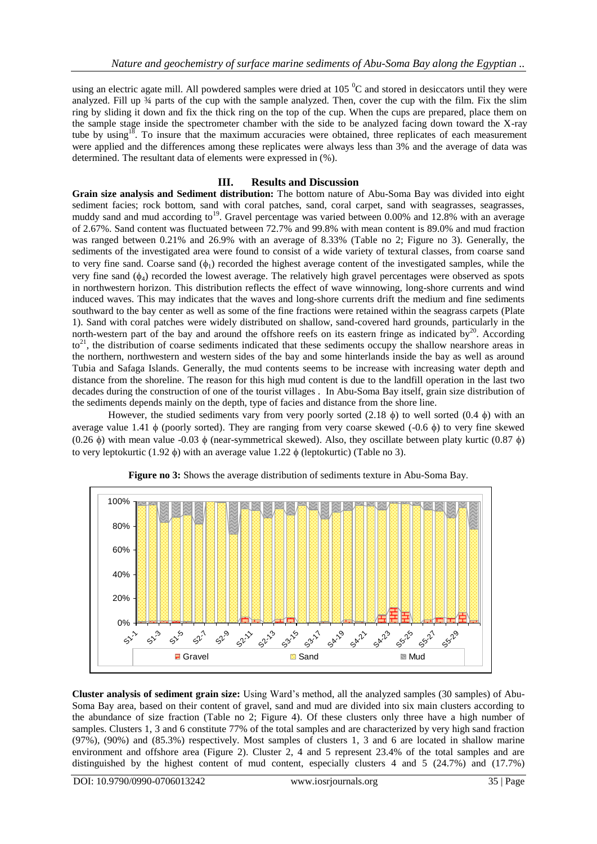using an electric agate mill. All powdered samples were dried at  $105<sup>o</sup>C$  and stored in desiccators until they were analyzed. Fill up  $\frac{3}{4}$  parts of the cup with the sample analyzed. Then, cover the cup with the film. Fix the slim ring by sliding it down and fix the thick ring on the top of the cup. When the cups are prepared, place them on the sample stage inside the spectrometer chamber with the side to be analyzed facing down toward the X-ray tube by using<sup>18</sup>. To insure that the maximum accuracies were obtained, three replicates of each measurement were applied and the differences among these replicates were always less than 3% and the average of data was determined. The resultant data of elements were expressed in (%).

# **III. Results and Discussion**

**Grain size analysis and Sediment distribution:** The bottom nature of Abu-Soma Bay was divided into eight sediment facies; rock bottom, sand with coral patches, sand, coral carpet, sand with seagrasses, seagrasses, muddy sand and mud according to<sup>19</sup>. Gravel percentage was varied between 0.00% and 12.8% with an average of 2.67%. Sand content was fluctuated between 72.7% and 99.8% with mean content is 89.0% and mud fraction was ranged between 0.21% and 26.9% with an average of 8.33% (Table no 2; Figure no 3). Generally, the sediments of the investigated area were found to consist of a wide variety of textural classes, from coarse sand to very fine sand. Coarse sand  $(\phi_1)$  recorded the highest average content of the investigated samples, while the very fine sand  $(\phi_4)$  recorded the lowest average. The relatively high gravel percentages were observed as spots in northwestern horizon. This distribution reflects the effect of wave winnowing, long-shore currents and wind induced waves. This may indicates that the waves and long-shore currents drift the medium and fine sediments southward to the bay center as well as some of the fine fractions were retained within the seagrass carpets (Plate 1). Sand with coral patches were widely distributed on shallow, sand-covered hard grounds, particularly in the north-western part of the bay and around the offshore reefs on its eastern fringe as indicated by $^{20}$ . According  $to<sup>21</sup>$ , the distribution of coarse sediments indicated that these sediments occupy the shallow nearshore areas in the northern, northwestern and western sides of the bay and some hinterlands inside the bay as well as around Tubia and Safaga Islands. Generally, the mud contents seems to be increase with increasing water depth and distance from the shoreline. The reason for this high mud content is due to the landfill operation in the last two decades during the construction of one of the tourist villages . In Abu-Soma Bay itself, grain size distribution of the sediments depends mainly on the depth, type of facies and distance from the shore line.

However, the studied sediments vary from very poorly sorted (2.18  $\phi$ ) to well sorted (0.4  $\phi$ ) with an average value 1.41  $\phi$  (poorly sorted). They are ranging from very coarse skewed (-0.6  $\phi$ ) to very fine skewed (0.26  $\phi$ ) with mean value -0.03  $\phi$  (near-symmetrical skewed). Also, they oscillate between platy kurtic (0.87  $\phi$ ) to very leptokurtic (1.92  $\phi$ ) with an average value 1.22  $\phi$  (leptokurtic) (Table no 3).



**Figure no 3:** Shows the average distribution of sediments texture in Abu-Soma Bay.

**Cluster analysis of sediment grain size:** Using Ward's method, all the analyzed samples (30 samples) of Abu-Soma Bay area, based on their content of gravel, sand and mud are divided into six main clusters according to the abundance of size fraction (Table no 2; Figure 4). Of these clusters only three have a high number of samples. Clusters 1, 3 and 6 constitute 77% of the total samples and are characterized by very high sand fraction (97%), (90%) and (85.3%) respectively. Most samples of clusters 1, 3 and 6 are located in shallow marine environment and offshore area (Figure 2). Cluster 2, 4 and 5 represent 23.4% of the total samples and are distinguished by the highest content of mud content, especially clusters 4 and 5 (24.7%) and (17.7%)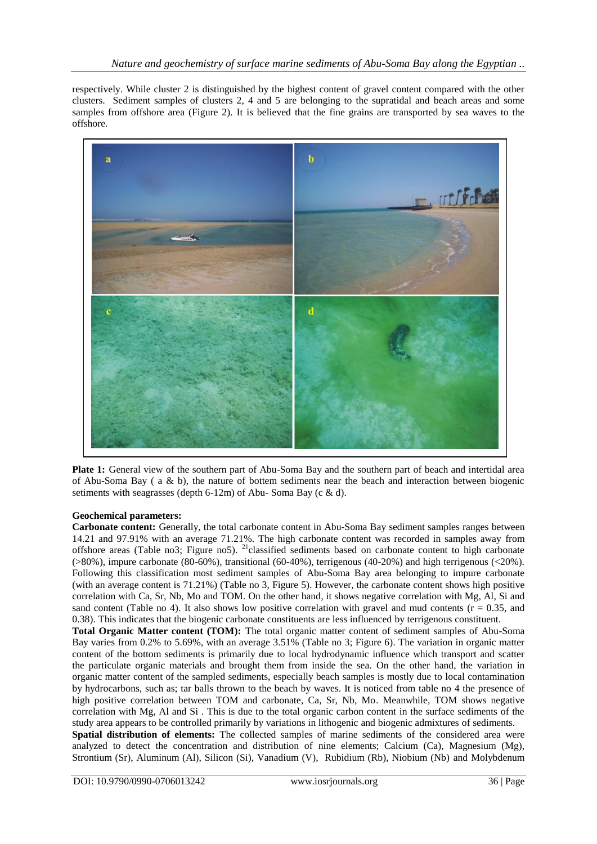respectively. While cluster 2 is distinguished by the highest content of gravel content compared with the other clusters. Sediment samples of clusters 2, 4 and 5 are belonging to the supratidal and beach areas and some samples from offshore area (Figure 2). It is believed that the fine grains are transported by sea waves to the offshore.



**Plate 1:** General view of the southern part of Abu-Soma Bay and the southern part of beach and intertidal area of Abu-Soma Bay ( a & b), the nature of bottem sediments near the beach and interaction between biogenic setiments with seagrasses (depth 6-12m) of Abu- Soma Bay (c & d).

# **Geochemical parameters:**

**Carbonate content:** Generally, the total carbonate content in Abu-Soma Bay sediment samples ranges between 14.21 and 97.91% with an average 71.21%. The high carbonate content was recorded in samples away from offshore areas (Table no3; Figure no5). <sup>21</sup>classified sediments based on carbonate content to high carbonate (>80%), impure carbonate (80-60%), transitional (60-40%), terrigenous (40-20%) and high terrigenous (<20%). Following this classification most sediment samples of Abu-Soma Bay area belonging to impure carbonate (with an average content is 71.21%) (Table no 3, Figure 5). However, the carbonate content shows high positive correlation with Ca, Sr, Nb, Mo and TOM. On the other hand, it shows negative correlation with Mg, Al, Si and sand content (Table no 4). It also shows low positive correlation with gravel and mud contents ( $r = 0.35$ , and 0.38). This indicates that the biogenic carbonate constituents are less influenced by terrigenous constituent.

**Total Organic Matter content (TOM):** The total organic matter content of sediment samples of Abu-Soma Bay varies from 0.2% to 5.69%, with an average 3.51% (Table no 3; Figure 6). The variation in organic matter content of the bottom sediments is primarily due to local hydrodynamic influence which transport and scatter the particulate organic materials and brought them from inside the sea. On the other hand, the variation in organic matter content of the sampled sediments, especially beach samples is mostly due to local contamination by hydrocarbons, such as; tar balls thrown to the beach by waves. It is noticed from table no 4 the presence of high positive correlation between TOM and carbonate, Ca, Sr, Nb, Mo. Meanwhile, TOM shows negative correlation with Mg, Al and Si . This is due to the total organic carbon content in the surface sediments of the study area appears to be controlled primarily by variations in lithogenic and biogenic admixtures of sediments. **Spatial distribution of elements:** The collected samples of marine sediments of the considered area were analyzed to detect the concentration and distribution of nine elements; Calcium (Ca), Magnesium (Mg), Strontium (Sr), Aluminum (Al), Silicon (Si), Vanadium (V), Rubidium (Rb), Niobium (Nb) and Molybdenum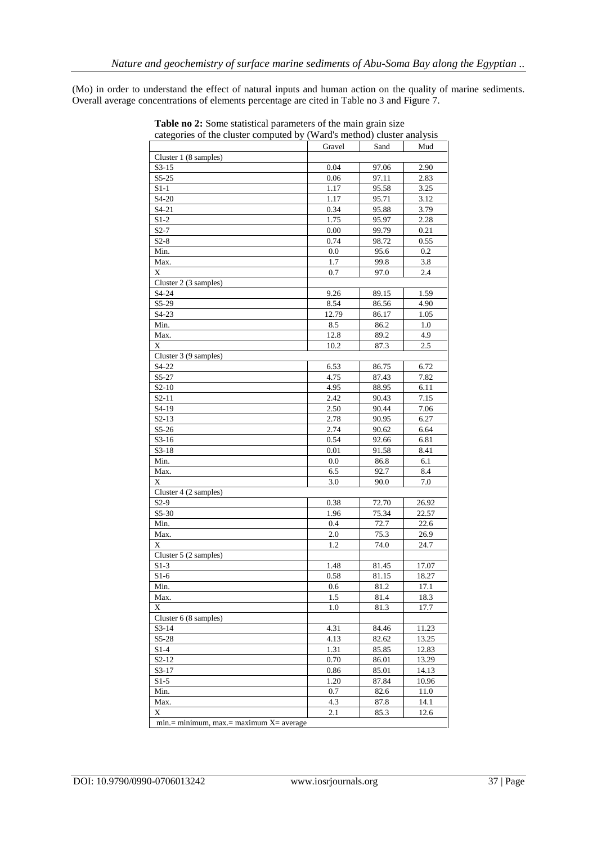(Mo) in order to understand the effect of natural inputs and human action on the quality of marine sediments. Overall average concentrations of elements percentage are cited in Table no 3 and Figure 7.

| categories of the cluster computed by (Ward's method) cluster analysis |        |       |       |
|------------------------------------------------------------------------|--------|-------|-------|
|                                                                        | Gravel | Sand  | Mud   |
| Cluster 1 (8 samples)                                                  |        |       |       |
| $S3-15$                                                                | 0.04   | 97.06 | 2.90  |
| $S5-25$                                                                | 0.06   | 97.11 | 2.83  |
| $S1-1$                                                                 | 1.17   | 95.58 | 3.25  |
| S4-20                                                                  | 1.17   | 95.71 | 3.12  |
| $S4-21$                                                                | 0.34   | 95.88 | 3.79  |
| $S1-2$                                                                 | 1.75   | 95.97 | 2.28  |
| $S2-7$                                                                 | 0.00   | 99.79 | 0.21  |
| $S2-8$                                                                 | 0.74   | 98.72 | 0.55  |
| Min.                                                                   | 0.0    | 95.6  | 0.2   |
| Max.                                                                   | 1.7    | 99.8  | 3.8   |
| X                                                                      | 0.7    | 97.0  | 2.4   |
| Cluster 2 (3 samples)                                                  |        |       |       |
| S4-24                                                                  | 9.26   | 89.15 | 1.59  |
| S5-29                                                                  | 8.54   | 86.56 | 4.90  |
| $S4-23$                                                                | 12.79  | 86.17 | 1.05  |
| Min.                                                                   | 8.5    | 86.2  | 1.0   |
| Max.                                                                   | 12.8   | 89.2  | 4.9   |
| $\mathbf X$                                                            | 10.2   | 87.3  | 2.5   |
| Cluster 3 (9 samples)                                                  |        |       |       |
| S4-22                                                                  | 6.53   | 86.75 | 6.72  |
| S5-27                                                                  | 4.75   | 87.43 | 7.82  |
| $S2-10$                                                                | 4.95   | 88.95 | 6.11  |
| $S2-11$                                                                | 2.42   | 90.43 | 7.15  |
| S4-19                                                                  | 2.50   | 90.44 | 7.06  |
| $S2-13$                                                                | 2.78   | 90.95 | 6.27  |
| $S5-26$                                                                | 2.74   | 90.62 | 6.64  |
| $S3-16$                                                                | 0.54   | 92.66 | 6.81  |
| $S3-18$                                                                | 0.01   | 91.58 | 8.41  |
| Min.                                                                   | 0.0    | 86.8  | 6.1   |
| Max.                                                                   | 6.5    | 92.7  | 8.4   |
| X                                                                      | 3.0    | 90.0  | 7.0   |
| Cluster 4 (2 samples)                                                  |        |       |       |
| $S2-9$                                                                 | 0.38   | 72.70 | 26.92 |
| $S5-30$                                                                | 1.96   | 75.34 | 22.57 |
| Min.                                                                   | 0.4    | 72.7  | 22.6  |
| Max.                                                                   | 2.0    | 75.3  | 26.9  |
| X                                                                      | 1.2    | 74.0  | 24.7  |
| Cluster 5 (2 samples)                                                  |        |       |       |
| $S1-3$                                                                 | 1.48   | 81.45 | 17.07 |
| $S1-6$                                                                 | 0.58   | 81.15 | 18.27 |
| Min.                                                                   | 0.6    | 81.2  | 17.1  |
| Max.                                                                   | 1.5    | 81.4  | 18.3  |
| X                                                                      | 1.0    | 81.3  | 17.7  |
| Cluster 6 (8 samples)                                                  |        |       |       |
| $S3-14$                                                                | 4.31   | 84.46 | 11.23 |
| $S5-28$                                                                | 4.13   | 82.62 | 13.25 |
| $S1-4$                                                                 | 1.31   | 85.85 | 12.83 |
| $S2-12$                                                                | 0.70   | 86.01 | 13.29 |
| $S3-17$                                                                | 0.86   | 85.01 | 14.13 |
| $S1-5$                                                                 | 1.20   | 87.84 | 10.96 |
| Min.                                                                   | 0.7    | 82.6  | 11.0  |
| Max.                                                                   | 4.3    | 87.8  | 14.1  |
| X                                                                      | 2.1    | 85.3  | 12.6  |
| $min = minimum$ , $max = maximum X = average$                          |        |       |       |

**Table no 2:** Some statistical parameters of the main grain size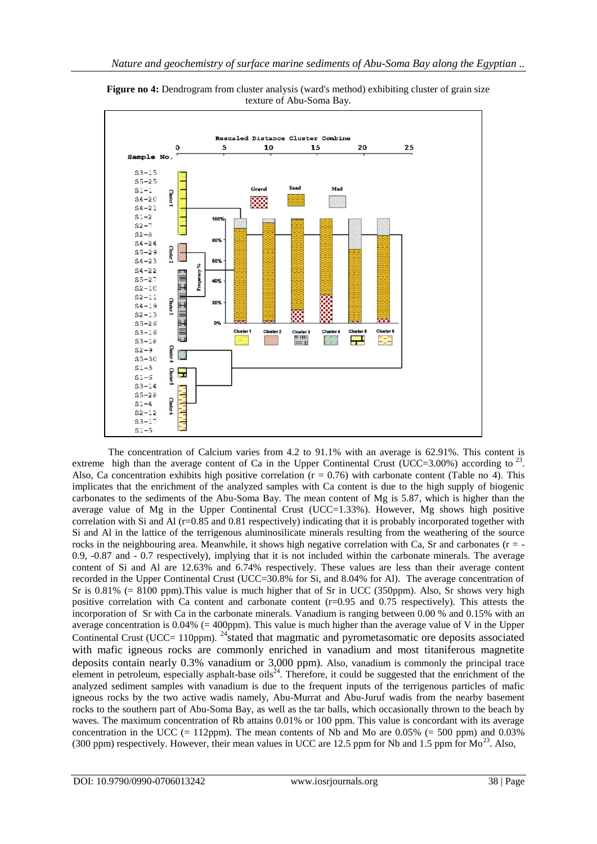

**Figure no 4:** Dendrogram from cluster analysis (ward's method) exhibiting cluster of grain size texture of Abu-Soma Bay.

The concentration of Calcium varies from 4.2 to 91.1% with an average is 62.91%. This content is extreme high than the average content of Ca in the Upper Continental Crust (UCC=3.00%) according to  $^{23}$ . Also, Ca concentration exhibits high positive correlation  $(r = 0.76)$  with carbonate content (Table no 4). This implicates that the enrichment of the analyzed samples with Ca content is due to the high supply of biogenic carbonates to the sediments of the Abu-Soma Bay. The mean content of Mg is 5.87, which is higher than the average value of Mg in the Upper Continental Crust (UCC=1.33%). However, Mg shows high positive correlation with Si and Al (r=0.85 and 0.81 respectively) indicating that it is probably incorporated together with Si and Al in the lattice of the terrigenous aluminosilicate minerals resulting from the weathering of the source rocks in the neighbouring area. Meanwhile, it shows high negative correlation with Ca, Sr and carbonates ( $r = -$ 0.9, -0.87 and - 0.7 respectively), implying that it is not included within the carbonate minerals. The average content of Si and Al are 12.63% and 6.74% respectively. These values are less than their average content recorded in the Upper Continental Crust (UCC=30.8% for Si, and 8.04% for Al). The average concentration of Sr is 0.81% (= 8100 ppm).This value is much higher that of Sr in UCC (350ppm). Also, Sr shows very high positive correlation with Ca content and carbonate content  $(r=0.95$  and 0.75 respectively). This attests the incorporation of Sr with Ca in the carbonate minerals. Vanadium is ranging between 0.00 % and 0.15% with an average concentration is  $0.04\%$  (= 400ppm). This value is much higher than the average value of V in the Upper Continental Crust (UCC= 110ppm). <sup>24</sup>stated that magmatic and pyrometasomatic ore deposits associated with mafic igneous rocks are commonly enriched in vanadium and most titaniferous magnetite deposits contain nearly 0.3% vanadium or 3,000 ppm). Also, vanadium is commonly the principal trace element in petroleum, especially asphalt-base oils<sup>24</sup>. Therefore, it could be suggested that the enrichment of the analyzed sediment samples with vanadium is due to the frequent inputs of the terrigenous particles of mafic igneous rocks by the two active wadis namely, Abu-Murrat and Abu-Juruf wadis from the nearby basement rocks to the southern part of Abu-Soma Bay, as well as the tar balls, which occasionally thrown to the beach by waves. The maximum concentration of Rb attains 0.01% or 100 ppm. This value is concordant with its average concentration in the UCC (= 112ppm). The mean contents of Nb and Mo are  $0.05\%$  (= 500 ppm) and 0.03% (300 ppm) respectively. However, their mean values in UCC are 12.5 ppm for Nb and 1.5 ppm for  $Mo^{23}$ . Also,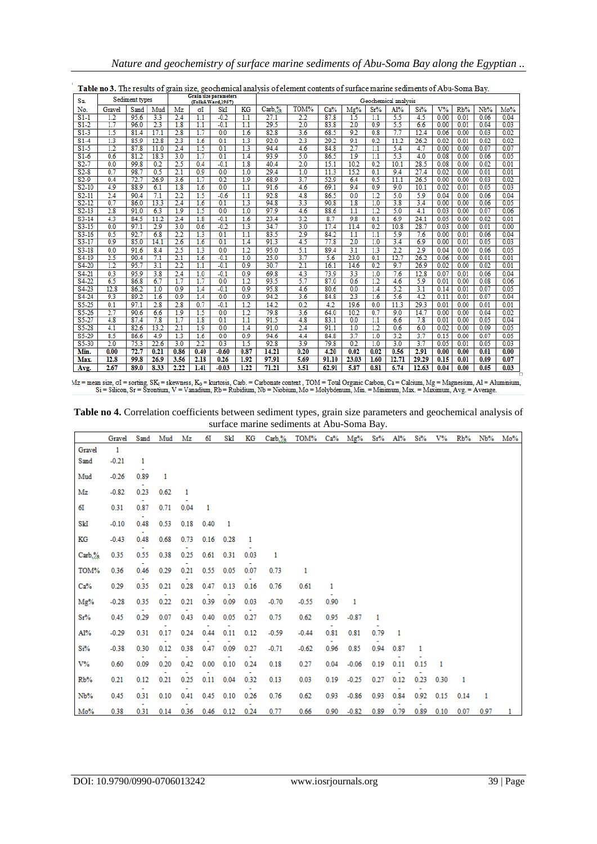| Sa.                | Sediment types |      |                | <b>Grain size parameters</b><br>(Folk&Ward,1957) |      |         |      | Geochemical analysis |                  |       |                  |                  |       |       |       |      |      |      |
|--------------------|----------------|------|----------------|--------------------------------------------------|------|---------|------|----------------------|------------------|-------|------------------|------------------|-------|-------|-------|------|------|------|
| No.                | Gravel         | Sand | Mud            | Mz                                               | σI   | SkI     | KG   | Carb.%               | TOM%             | Ca%   | Mg%              | Sr%              | Al%   | Si%   | $V\%$ | Rb%  | Nb%  | Mo%  |
| $S1-1$             | 1.2            | 95.6 | 3.3            | 2.4                                              | 1.1  | $-0.2$  | 1.1  | 27.1                 | $^{2.2}$         | 87.8  | 1.5              | 1.1              | 5.5   | 4.5   | 0.00  | 0.01 | 0.06 | 0.04 |
| $S1-2$             | 1.7            | 96.0 | 2 <sub>3</sub> | 1.8                                              | 1.1  | $-0.1$  | 1.1  | 29.5                 | 2.0              | 83.8  | 2.0              | 0.9              | 5.5   | 6.6   | 0.00  | 0.01 | 0.04 | 0.03 |
| $S1-3$             | 1.5            | 81.4 | 17.1           | 2.8                                              | 1.7  | 0.0     | 1.6  | 82.8                 | 3.6              | 68.5  | 9.2              | 0.8              | 7.7   | 12.4  | 0.06  | 0.00 | 0.03 | 0.02 |
| $S1-4$             | 1.3            | 85.9 | 12.8           | 2.3                                              | 1.6  | 0.1     | 1.3  | 92.0                 | 2.3              | 29.2  | 9.1              | 0.2              | 11.2  | 26.2  | 0.02  | 0.01 | 0.02 | 0.02 |
| $S1-5$             | 1.2            | 87.8 | 11.0           | 2.4                                              | 1.5  | 0.1     | 1.3  | 94.4                 | 4.6              | 84.8  | 2.7              | 1.1              | 5.4   | 4.7   | 0.00  | 0.00 | 0.07 | 0.07 |
| $S1-6$             | 0.6            | 81.2 | 18.3           | 3.0                                              | 1.7  | 0.1     | 1.4  | 93.9                 | 5.0              | 86.5  | 1.9              | 1.1              | 5.3   | 4.0   | 0.08  | 0.00 | 0.06 | 0.05 |
| $S2-7$             | 0.0            | 99.8 | 0.2            | 2.5                                              | 0.4  | $-0.1$  | 1.8  | 40.4                 | 2.0              | 15.1  | 10.2             | 0.2              | 10.1  | 28.5  | 0.08  | 0.00 | 0.02 | 0.01 |
| $S2-8$             | 0.7            | 98.7 | 0.5            | 2.1                                              | 0.9  | 0.0     | 1.0  | 29.4                 | 1.0              | 11.3  | 15.2             | 0.1              | 9.4   | 27.4  | 0.02  | 0.00 | 0.01 | 0.01 |
| $S2-9$             | 0.4            | 72.7 | 26.9           | 3.6                                              | 1.7  | 0.2     | 1.9  | 68.9                 | 3.7              | 52.9  | 6.4              | 0.5              | 11.1  | 26.5  | 0.00  | 0.00 | 0.03 | 0.02 |
| $S2-10$            | 4.9            | 88.9 | 6.1            | 1.8                                              | 1.6  | 0.0     | 1.1  | 91.6                 | 4.6              | 69.1  | 9.4              | 0.9              | 9.0   | 10.1  | 0.02  | 0.01 | 0.05 | 0.03 |
| $S2-11$            | 2.4            | 90.4 | 7.1            | 2.2                                              | 1.5  | $-0.6$  | 1.1  | 92.8                 | 4.8              | 86.5  | 0.0              | 1.2              | 5.0   | 5.9   | 0.04  | 0.00 | 0.06 | 0.04 |
| $S2-12$            | 0.7            | 86.0 | 13.3           | 2.4                                              | 1.6  | 0.1     | 1.3  | 94.8                 | 3.3              | 90.8  | 1.8              | 1.0              | 3.8   | 3.4   | 0.00  | 0.00 | 0.06 | 0.05 |
| $S2-13$            | 2.8            | 91.0 | 6.3            | 1.9                                              | 1.5  | 0.0     | 1.0  | 97.9                 | 4.6              | 88.6  | $\overline{1.1}$ | 1.2              | 5.0   | 4.1   | 0.03  | 0.00 | 0.07 | 0.06 |
| S3-14              | 4.3            | 84.5 | 11.2           | 2.4                                              | 1.8  | $-0.1$  | 1.6  | 23.4                 | $\overline{3.2}$ | 8.7   | 9.8              | 0.1              | 6.9   | 24.1  | 0.05  | 0.00 | 0.02 | 0.01 |
| $S3 - 15$          | 0.0            | 97.1 | 2.9            | 3.0                                              | 0.6  | $-0.2$  | 1.3  | 34.7                 | 3.0              | 17.4  | 11.4             | 0.2              | 10.8  | 28.7  | 0.03  | 0.00 | 0.01 | 0.00 |
| $S3-16$            | 0.5            | 92.7 | 6.8            | 2.2                                              | 1.3  | 0.1     | 1.1  | 83.5                 | 2.9              | 84.2  | 1.1              | 1.1              | 5.9   | 7.6   | 0.00  | 0.01 | 0.06 | 0.04 |
| $S3-17$            | 0.9            | 85.0 | 14.1           | 2.6                                              | 1.6  | 0.1     | 1.4  | 91.3                 | 4.5              | 77.8  | 2.0              | 1.0              | 3.4   | 6.9   | 0.00  | 0.01 | 0.05 | 0.03 |
| $S3-18$            | 0.0            | 91.6 | 8.4            | 2.5                                              | 1.3  | 0.0     | 1.2  | 95.0                 | 5.1              | 89.4  | 3.1              | 1.3              | 2.2   | 2.9   | 0.04  | 0.00 | 0.06 | 0.05 |
| S <sub>4</sub> -19 | 2.5            | 90.4 | 7.1            | 2.1                                              | 1.6  | $-0.1$  | 1.0  | 25.0                 | 3.7              | 5.6   | 23.0             | 0.1              | 12.7  | 26.2  | 0.06  | 0.00 | 0.01 | 0.01 |
| $S4-20$            | 1.2            | 95.7 | 3.1            | 2.2                                              | 1.1  | $-0.1$  | 0.9  | 30.7                 | $\overline{2.1}$ | 16.1  | 14.6             | 0.2              | 9.7   | 26.9  | 0.02  | 0.00 | 0.02 | 0.01 |
| S <sub>4</sub> -21 | 0.3            | 95.9 | 3.8            | 2.4                                              | 1.0  | $-0.1$  | 0.9  | 69.8                 | 4.3              | 73.9  | 3.3              | 1.0              | 7.6   | 12.8  | 0.07  | 0.01 | 0.06 | 0.04 |
| S4-22              | 6.5            | 86.8 | 6.7            | 1.7                                              | 1.7  | 0.0     | 12   | 93.5                 | 5.7              | 87.0  | 0.6              | $\overline{1.2}$ | 4.6   | 5.9   | 0.01  | 0.00 | 0.08 | 0.06 |
| $S4-23$            | 12.8           | 86.2 | 1.0            | 0.9                                              | 1.4  | $-0.1$  | 0.9  | 95.8                 | 4.6              | 80.6  | 0.0              | 1.4              | 5.2   | 3.1   | 0.14  | 0.01 | 0.07 | 0.05 |
| S <sub>4</sub> -24 | 9.3            | 89.2 | 1.6            | 0.9                                              | 1.4  | 0.0     | 0.9  | 94.2                 | 3.6              | 84.8  | 2 <sub>3</sub>   | 1.6              | 5.6   | 4.2   | 0.11  | 0.01 | 0.07 | 0.04 |
| $S5-25$            | 0.1            | 97.1 | 2.8            | 2.8                                              | 0.7  | $-0.1$  | 1.2  | 14.2                 | 0.2              | 4.2   | 19.6             | 0.0              | 11.3  | 29.3  | 0.01  | 0.00 | 0.01 | 0.01 |
| $S5 - 26$          | 2.7            | 90.6 | 6.6            | 1.9                                              | 1.5  | 0.0     | 1.2  | 79.8                 | 3.6              | 64.0  | 10.2             | 0.7              | 9.0   | 14.7  | 0.00  | 0.00 | 0.04 | 0.02 |
| $S5-27$            | 4.8            | 87.4 | 7.8            | 1.7                                              | 1.8  | 0.1     | 1.1  | 91.5                 | 4.8              | 83.1  | 0.0              | $\overline{1.1}$ | 6.6   | 7.8   | 0.01  | 0.00 | 0.05 | 0.04 |
| $S5 - 28$          | 4.1            | 82.6 | 13.2           | 2.1                                              | 1.9  | 0.0     | 1.4  | 91.0                 | 2.4              | 91.1  | 1.0              | 1.2              | 0.6   | 6.0   | 0.02  | 0.00 | 0.09 | 0.05 |
| S5-29              | 8.5            | 86.6 | 4.9            | 1.3                                              | 1.6  | 0.0     | 0.9  | 94.6                 | 4.4              | 84.8  | 3.7              | 1.0              | 3.2   | 3.7   | 0.15  | 0.00 | 0.07 | 0.05 |
| $S5-30$            | 2.0            | 75.3 | 22.6           | 3.0                                              | 2.2  | 0.3     | 15   | 92.8                 | 3.9              | 79.8  | 0.2              | 1.0              | 3.0   | 3.7   | 0.05  | 0.01 | 0.05 | 0.03 |
| Min.               | 0.00           | 72.7 | 0.21           | 0.86                                             | 0.40 | $-0.60$ | 0.87 | 14.21                | 0.20             | 4.20  | 0.02             | 0.02             | 0.56  | 2.91  | 0.00  | 0.00 | 0.01 | 0.00 |
| Max.               | 12.8           | 99.8 | 26.9           | 3.56                                             | 2.18 | 0.26    | 1.92 | 97.91                | 5.69             | 91.10 | 23.03            | 1.60             | 12.71 | 29.29 | 0.15  | 0.01 | 0.09 | 0.07 |
| Avg.               | 2.67           | 89.0 | 8.33           | 2.22                                             | 1.41 | $-0.03$ | 1.22 | 71.21                | 3.51             | 62.91 | 5.87             | 0.81             | 6.74  | 12.63 | 0.04  | 0.00 | 0.05 | 0.03 |

Table no 3. The results of grain size, geochemical analysis of element contents of surface marine sediments of Abu-Soma Bay.

**Table no 4.** Correlation coefficients between sediment types, grain size parameters and geochemical analysis of surface marine sediments at Abu-Soma Bay.

|        | Gravel  | Sand | Mud  | Mz   | 61   | SkI  | KG   | $Carb. \%$ | TOM%    | Ca%  | Mg%     | $Sr\%$ | Al%  | Si%  | V%   | Rb%  | Nb%  | Mo% |
|--------|---------|------|------|------|------|------|------|------------|---------|------|---------|--------|------|------|------|------|------|-----|
| Gravel | 1       |      |      |      |      |      |      |            |         |      |         |        |      |      |      |      |      |     |
| Sand   | $-0.21$ | 1    |      |      |      |      |      |            |         |      |         |        |      |      |      |      |      |     |
| Mud    | $-0.26$ | 0.89 | 1    |      |      |      |      |            |         |      |         |        |      |      |      |      |      |     |
| Mz     | $-0.82$ | 0.23 | 0.62 |      |      |      |      |            |         |      |         |        |      |      |      |      |      |     |
| 61     | 0.31    | 0.87 | 0.71 | 0.04 | 1    |      |      |            |         |      |         |        |      |      |      |      |      |     |
| SkI    | $-0.10$ | 0.48 | 0.53 | 0.18 | 0.40 |      |      |            |         |      |         |        |      |      |      |      |      |     |
| KG     | $-0.43$ | 0.48 | 0.68 | 0.73 | 0.16 | 0.28 | 1    |            |         |      |         |        |      |      |      |      |      |     |
| Carb.% | 0.35    | 0.55 | 0.38 | 0.25 | 0.61 | 0.31 | 0.03 | 1          |         |      |         |        |      |      |      |      |      |     |
| TOM%   | 0.36    | 0.46 | 0.29 | 0.21 | 0.55 | 0.05 | 0.07 | 0.73       | 1       |      |         |        |      |      |      |      |      |     |
| Ca%    | 0.29    | 0.35 | 0.21 | 0.28 | 0.47 | 0.13 | 0.16 | 0.76       | 0.61    | 1    |         |        |      |      |      |      |      |     |
| Mg%    | $-0.28$ | 0.35 | 0.22 | 0.21 | 0.39 | 0.09 | 0.03 | $-0.70$    | $-0.55$ | 0.90 | 1       |        |      |      |      |      |      |     |
| Sr%    | 0.45    | 0.29 | 0.07 | 0.43 | 0.40 | 0.05 | 0.27 | 0.75       | 0.62    | 0.95 | $-0.87$ | 1      |      |      |      |      |      |     |
| Al%    | $-0.29$ | 0.31 | 0.17 | 0.24 | 0.44 | 0.11 | 0.12 | $-0.59$    | $-0.44$ | 0.81 | 0.81    | 0.79   |      |      |      |      |      |     |
| $Si\%$ | $-0.38$ | 0.30 | 0.12 | 0.38 | 0.47 | 0.09 | 0.27 | $-0.71$    | $-0.62$ | 0.96 | 0.85    | 0.94   | 0.87 | 1    |      |      |      |     |
| V%     | 0.60    | 0.09 | 0.20 | 0.42 | 0.00 | 0.10 | 0.24 | 0.18       | 0.27    | 0.04 | $-0.06$ | 0.19   | 0.11 | 0.15 |      |      |      |     |
| Rb%    | 0.21    | 0.12 | 0.21 | 0.25 | 0.11 | 0.04 | 0.32 | 0.13       | 0.03    | 0.19 | $-0.25$ | 0.27   | 0.12 | 0.23 | 0.30 |      |      |     |
| Nb%    | 0.45    | 0.31 | 0.10 | 0.41 | 0.45 | 0.10 | 0.26 | 0.76       | 0.62    | 0.93 | $-0.86$ | 0.93   | 0.84 | 0.92 | 0.15 | 0.14 | 1    |     |
| Mo%    | 0.38    | 0.31 | 0.14 | 0.36 | 0.46 | 0.12 | 0.24 | 0.77       | 0.66    | 0.90 | $-0.82$ | 0.89   | 0.79 | 0.89 | 0.10 | 0.07 | 0.97 |     |

 $\verb|Mz=mean size, \sigma I= sorting, SK_i= skewness, K_0= kurtosis, Carb.- Carbonate content, TOM=Total Organization, Ca=Calcium, Mg=Magenesium, Al=Aluminum, Si=Slicon, Sr=Strontium, V=Vanadium, Rb=Rubidium, Nb=Niobium, Mo=Molybdenum, Min.=\text{Minimum}, Max.=\text{Maximum}, Avg.=\text{Average}.$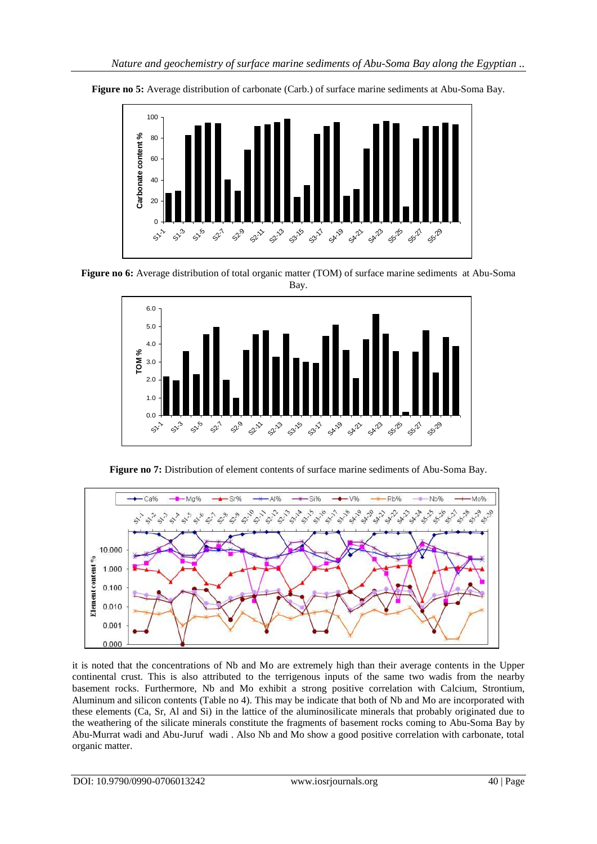

**Figure no 5:** Average distribution of carbonate (Carb.) of surface marine sediments at Abu-Soma Bay.

**Figure no 6:** Average distribution of total organic matter (TOM) of surface marine sediments at Abu-Soma Bay.



**Figure no 7:** Distribution of element contents of surface marine sediments of Abu-Soma Bay.



it is noted that the concentrations of Nb and Mo are extremely high than their average contents in the Upper continental crust. This is also attributed to the terrigenous inputs of the same two wadis from the nearby basement rocks. Furthermore, Nb and Mo exhibit a strong positive correlation with Calcium, Strontium, Aluminum and silicon contents (Table no 4). This may be indicate that both of Nb and Mo are incorporated with these elements (Ca, Sr, Al and Si) in the lattice of the aluminosilicate minerals that probably originated due to the weathering of the silicate minerals constitute the fragments of basement rocks coming to Abu-Soma Bay by Abu-Murrat wadi and Abu-Juruf wadi . Also Nb and Mo show a good positive correlation with carbonate, total organic matter.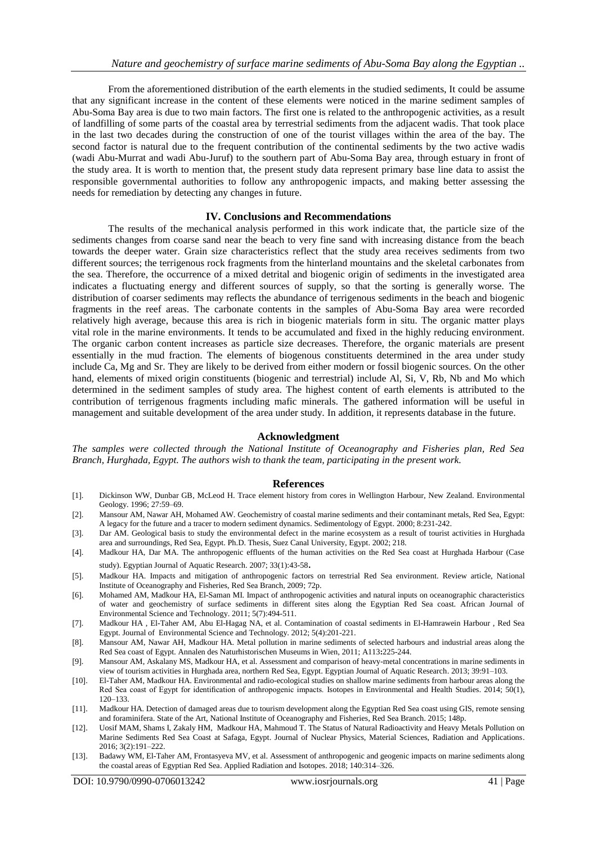From the aforementioned distribution of the earth elements in the studied sediments, It could be assume that any significant increase in the content of these elements were noticed in the marine sediment samples of Abu-Soma Bay area is due to two main factors. The first one is related to the anthropogenic activities, as a result of landfilling of some parts of the coastal area by terrestrial sediments from the adjacent wadis. That took place in the last two decades during the construction of one of the tourist villages within the area of the bay. The second factor is natural due to the frequent contribution of the continental sediments by the two active wadis (wadi Abu-Murrat and wadi Abu-Juruf) to the southern part of Abu-Soma Bay area, through estuary in front of the study area. It is worth to mention that, the present study data represent primary base line data to assist the responsible governmental authorities to follow any anthropogenic impacts, and making better assessing the needs for remediation by detecting any changes in future.

## **IV. Conclusions and Recommendations**

The results of the mechanical analysis performed in this work indicate that, the particle size of the sediments changes from coarse sand near the beach to very fine sand with increasing distance from the beach towards the deeper water. Grain size characteristics reflect that the study area receives sediments from two different sources; the terrigenous rock fragments from the hinterland mountains and the skeletal carbonates from the sea. Therefore, the occurrence of a mixed detrital and biogenic origin of sediments in the investigated area indicates a fluctuating energy and different sources of supply, so that the sorting is generally worse. The distribution of coarser sediments may reflects the abundance of terrigenous sediments in the beach and biogenic fragments in the reef areas. The carbonate contents in the samples of Abu-Soma Bay area were recorded relatively high average, because this area is rich in biogenic materials form in situ. The organic matter plays vital role in the marine environments. It tends to be accumulated and fixed in the highly reducing environment. The organic carbon content increases as particle size decreases. Therefore, the organic materials are present essentially in the mud fraction. The elements of biogenous constituents determined in the area under study include Ca, Mg and Sr. They are likely to be derived from either modern or fossil biogenic sources. On the other hand, elements of mixed origin constituents (biogenic and terrestrial) include Al, Si, V, Rb, Nb and Mo which determined in the sediment samples of study area. The highest content of earth elements is attributed to the contribution of terrigenous fragments including mafic minerals. The gathered information will be useful in management and suitable development of the area under study. In addition, it represents database in the future.

## **Acknowledgment**

*The samples were collected through the National Institute of Oceanography and Fisheries plan, Red Sea Branch, Hurghada, Egypt. The authors wish to thank the team, participating in the present work.*

## **References**

- 1. Dickinson WW, Dunbar GB, McLeod H. Trace element history from cores in Wellington Harbour, New Zealand. Environmental Geology. 1996; 27:59–69.
- 2. Mansour AM, Nawar AH, Mohamed AW. Geochemistry of coastal marine sediments and their contaminant metals, Red Sea, Egypt: A legacy for the future and a tracer to modern sediment dynamics. Sedimentology of Egypt. 2000; 8:231-242.
- 3. Dar AM. Geological basis to study the environmental defect in the marine ecosystem as a result of tourist activities in Hurghada area and surroundings, Red Sea, Egypt. Ph.D. Thesis, Suez Canal University, Egypt. 2002; 218.
- 4. Madkour HA, Dar MA. The anthropogenic effluents of the human activities on the Red Sea coast at Hurghada Harbour (Case study). Egyptian Journal of Aquatic Research. 2007; 33(1):43-58.
- 5. Madkour HA. Impacts and mitigation of anthropogenic factors on terrestrial Red Sea environment. Review article, National Institute of Oceanography and Fisheries, Red Sea Branch, 2009; 72p.
- 6. Mohamed AM, Madkour HA, El-Saman MI. Impact of anthropogenic activities and natural inputs on oceanographic characteristics of water and geochemistry of surface sediments in different sites along the Egyptian Red Sea coast. African Journal of Environmental Science and Technology. 2011; 5(7):494-511.
- 7. Madkour HA , El-Taher AM, Abu El-Hagag NA, et al. Contamination of coastal sediments in El-Hamrawein Harbour , Red Sea Egypt. Journal of Environmental Science and Technology. 2012; 5(4):201-221.
- 8. Mansour AM, Nawar AH, Madkour HA. Metal pollution in marine sediments of selected harbours and industrial areas along the Red Sea coast of Egypt*.* Annalen des Naturhistorischen Museums in Wien, 2011; A113**:**225-244.
- 9. Mansour AM, Askalany MS, Madkour HA, et al. Assessment and comparison of heavy-metal concentrations in marine sediments in view of tourism activities in Hurghada area, northern Red Sea, Egypt. Egyptian Journal of Aquatic Research. 2013; 39:91–103.
- 10. El-Taher AM, Madkour HA. Environmental and radio-ecological studies on shallow marine sediments from harbour areas along the Red Sea coast of Egypt for identification of anthropogenic impacts. Isotopes in Environmental and Health Studies. 2014; 50(1), 120–133.
- [11]. Madkour HA. Detection of damaged areas due to tourism development along the Egyptian Red Sea coast using GIS, remote sensing and foraminifera. State of the Art, National Institute of Oceanography and Fisheries, Red Sea Branch. 2015; 148p.
- 12. Uosif MAM, Shams I, Zakaly HM, Madkour HA, Mahmoud T. The Status of Natural Radioactivity and Heavy Metals Pollution on Marine Sediments Red Sea Coast at Safaga, Egypt. Journal of Nuclear Physics, Material Sciences, Radiation and Applications. 2016; 3(2):191–222.
- 13. Badawy WM, El-Taher AM, Frontasyeva MV, et al. Assessment of anthropogenic and geogenic impacts on marine sediments along the coastal areas of Egyptian Red Sea. Applied Radiation and Isotopes. 2018; 140:314–326.